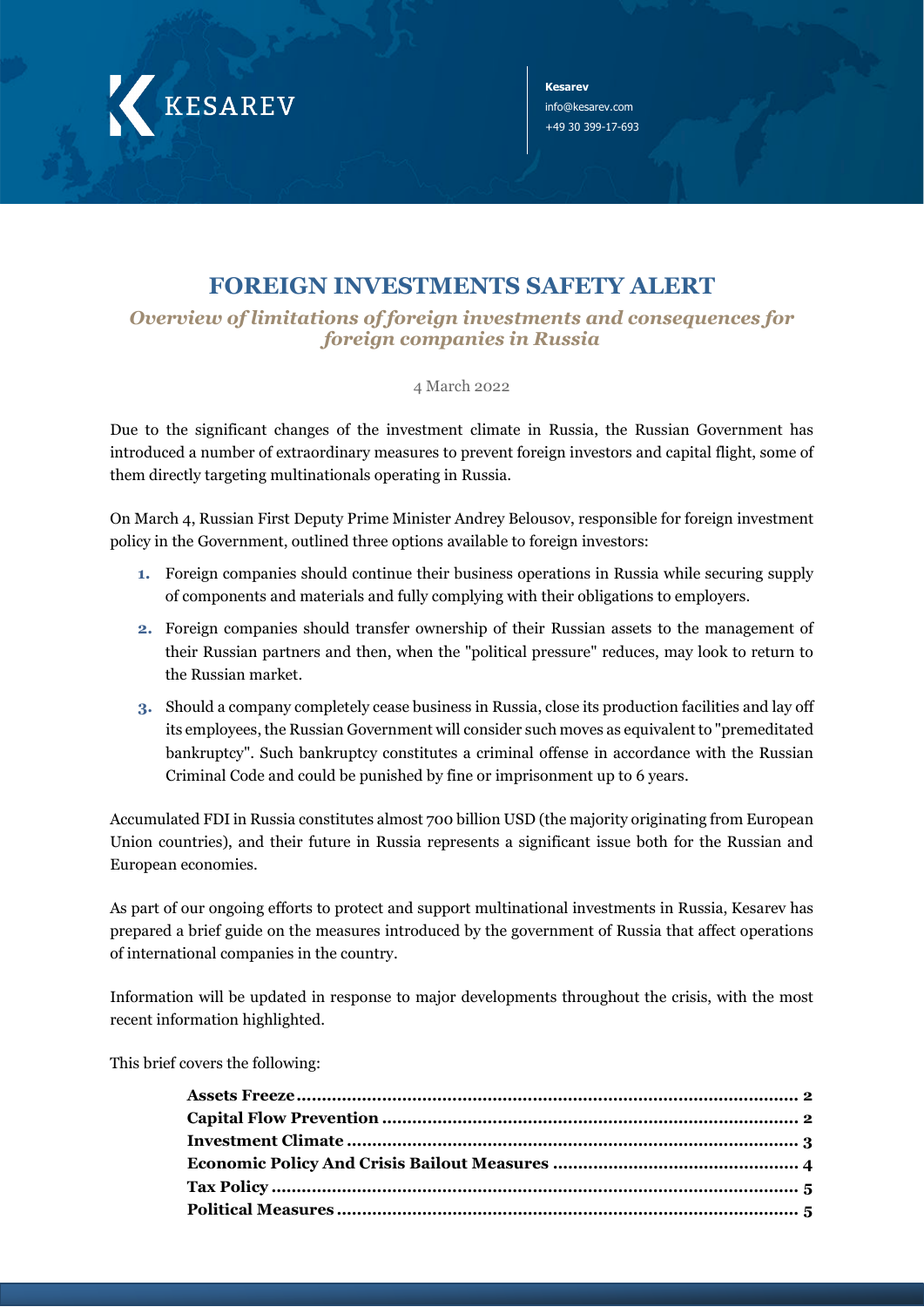

**Kesarev**  info@kesarev.com +49 30 399-17-693

## **FOREIGN INVESTMENTS SAFETY ALERT**

*Overview of limitations of foreign investments and consequences for foreign companies in Russia*

4 March 2022

Due to the significant changes of the investment climate in Russia, the Russian Government has introduced a number of extraordinary measures to prevent foreign investors and capital flight, some of them directly targeting multinationals operating in Russia.

On March 4, Russian First Deputy Prime Minister Andrey Belousov, responsible for foreign investment policy in the Government, outlined three options available to foreign investors:

- **1.** Foreign companies should continue their business operations in Russia while securing supply of components and materials and fully complying with their obligations to employers.
- **2.** Foreign companies should transfer ownership of their Russian assets to the management of their Russian partners and then, when the "political pressure" reduces, may look to return to the Russian market.
- **3.** Should a company completely cease business in Russia, close its production facilities and lay off its employees, the Russian Government will consider such moves as equivalent to "premeditated bankruptcy". Such bankruptcy constitutes a criminal offense in accordance with the Russian Criminal Code and could be punished by fine or imprisonment up to 6 years.

Accumulated FDI in Russia constitutes almost 700 billion USD (the majority originating from European Union countries), and their future in Russia represents a significant issue both for the Russian and European economies.

As part of our ongoing efforts to protect and support multinational investments in Russia, Kesarev has prepared a brief guide on the measures introduced by the government of Russia that affect operations of international companies in the country.

Information will be updated in response to major developments throughout the crisis, with the most recent information highlighted.

This brief covers the following: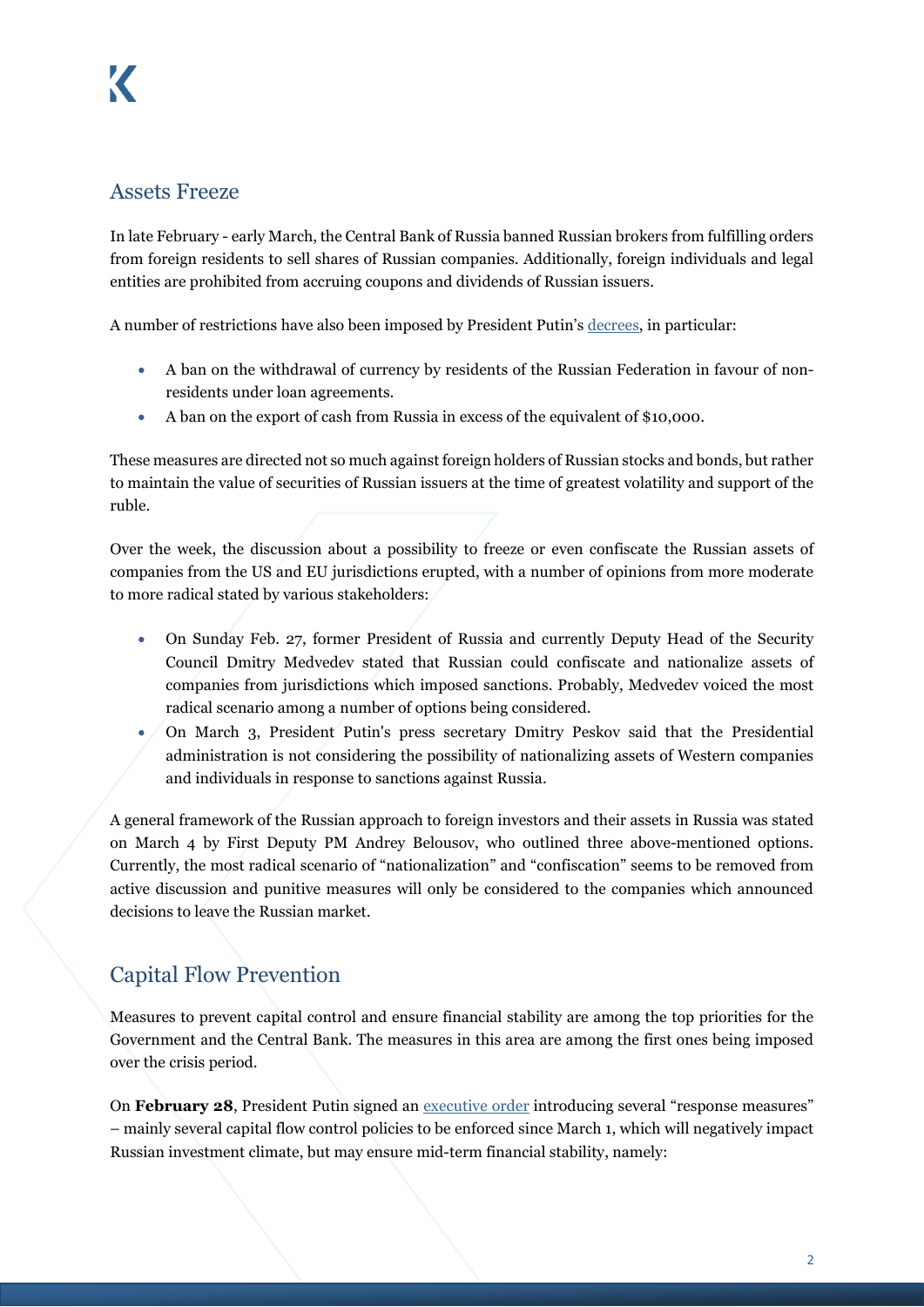### <span id="page-1-0"></span>Assets Freeze

In late February - early March, the Central Bank of Russia banned Russian brokers from fulfilling orders from foreign residents to sell shares of Russian companies. Additionally, foreign individuals and legal entities are prohibited from accruing coupons and dividends of Russian issuers.

A number of restrictions have also been imposed by President Putin'[s decrees,](http://kremlin.ru/events/president/news/67886) in particular:

- A ban on the withdrawal of currency by residents of the Russian Federation in favour of nonresidents under loan agreements.
- A ban on the export of cash from Russia in excess of the equivalent of \$10,000.

These measures are directed not so much against foreign holders of Russian stocks and bonds, but rather to maintain the value of securities of Russian issuers at the time of greatest volatility and support of the ruble.

Over the week, the discussion about a possibility to freeze or even confiscate the Russian assets of companies from the US and EU jurisdictions erupted, with a number of opinions from more moderate to more radical stated by various stakeholders:

- On Sunday Feb. 27, former President of Russia and currently Deputy Head of the Security Council Dmitry Medvedev stated that Russian could confiscate and nationalize assets of companies from jurisdictions which imposed sanctions. Probably, Medvedev voiced the most radical scenario among a number of options being considered.
- On March 3, President Putin's press secretary Dmitry Peskov said that the Presidential administration is not considering the possibility of nationalizing assets of Western companies and individuals in response to sanctions against Russia.

A general framework of the Russian approach to foreign investors and their assets in Russia was stated on March 4 by First Deputy PM Andrey Belousov, who outlined three above-mentioned options. Currently, the most radical scenario of "nationalization" and "confiscation" seems to be removed from active discussion and punitive measures will only be considered to the companies which announced decisions to leave the Russian market.

## <span id="page-1-1"></span>Capital Flow Prevention

Measures to prevent capital control and ensure financial stability are among the top priorities for the Government and the Central Bank. The measures in this area are among the first ones being imposed over the crisis period.

On **February 28**, President Putin signed an [executive order](http://publication.pravo.gov.ru/Document/View/0001202202280049) introducing several "response measures" – mainly several capital flow control policies to be enforced since March 1, which will negatively impact Russian investment climate, but may ensure mid-term financial stability, namely: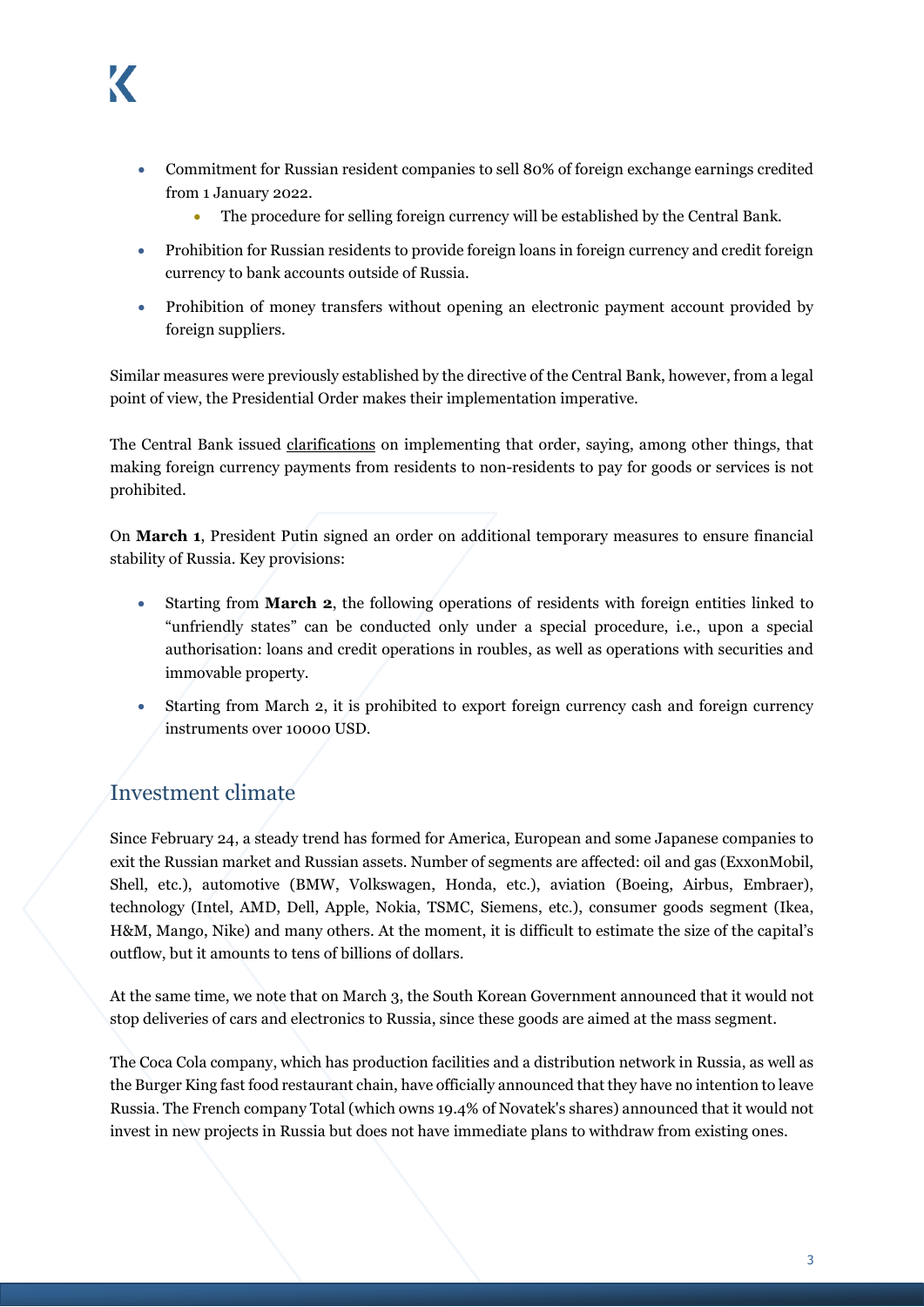- Commitment for Russian resident companies to sell 80% of foreign exchange earnings credited from 1 January 2022.
	- The procedure for selling foreign currency will be established by the Central Bank.
- Prohibition for Russian residents to provide foreign loans in foreign currency and credit foreign currency to bank accounts outside of Russia.
- Prohibition of money transfers without opening an electronic payment account provided by foreign suppliers.

Similar measures were previously established by the directive of the Central Bank, however, from a legal point of view, the Presidential Order makes their implementation imperative.

The Central Bank issued [clarifications](https://cbr.ru/explan/support_measures_fin/) on implementing that order, saying, among other things, that making foreign currency payments from residents to non-residents to pay for goods or services is not prohibited.

On **March 1**, President Putin signed an [order](http://publication.pravo.gov.ru/Document/View/0001202203010083) on additional temporary measures to ensure financial stability of Russia. Key provisions:

- Starting from **March 2**, the following operations of residents with foreign entities linked to "unfriendly states" can be conducted only under a special procedure, i.e., upon a special authorisation: loans and credit operations in roubles, as well as operations with securities and immovable property.
- Starting from March 2, it is prohibited to export foreign currency cash and foreign currency instruments over 10000 USD.

## <span id="page-2-0"></span>Investment climate

Since February 24, a steady trend has formed for America, European and some Japanese companies to exit the Russian market and Russian assets. Number of segments are affected: oil and gas (ExxonMobil, Shell, etc.), automotive (BMW, Volkswagen, Honda, etc.), aviation (Boeing, Airbus, Embraer), technology (Intel, AMD, Dell, Apple, Nokia, TSMC, Siemens, etc.), consumer goods segment (Ikea, H&M, Mango, Nike) and many others. At the moment, it is difficult to estimate the size of the capital's outflow, but it amounts to tens of billions of dollars.

At the same time, we note that on March 3, the South Korean Government announced that it would not stop deliveries of cars and electronics to Russia, since these goods are aimed at the mass segment.

The Coca Cola company, which has production facilities and a distribution network in Russia, as well as the Burger King fast food restaurant chain, have officially announced that they have no intention to leave Russia. The French company Total (which owns 19.4% of Novatek's shares) announced that it would not invest in new projects in Russia but does not have immediate plans to withdraw from existing ones.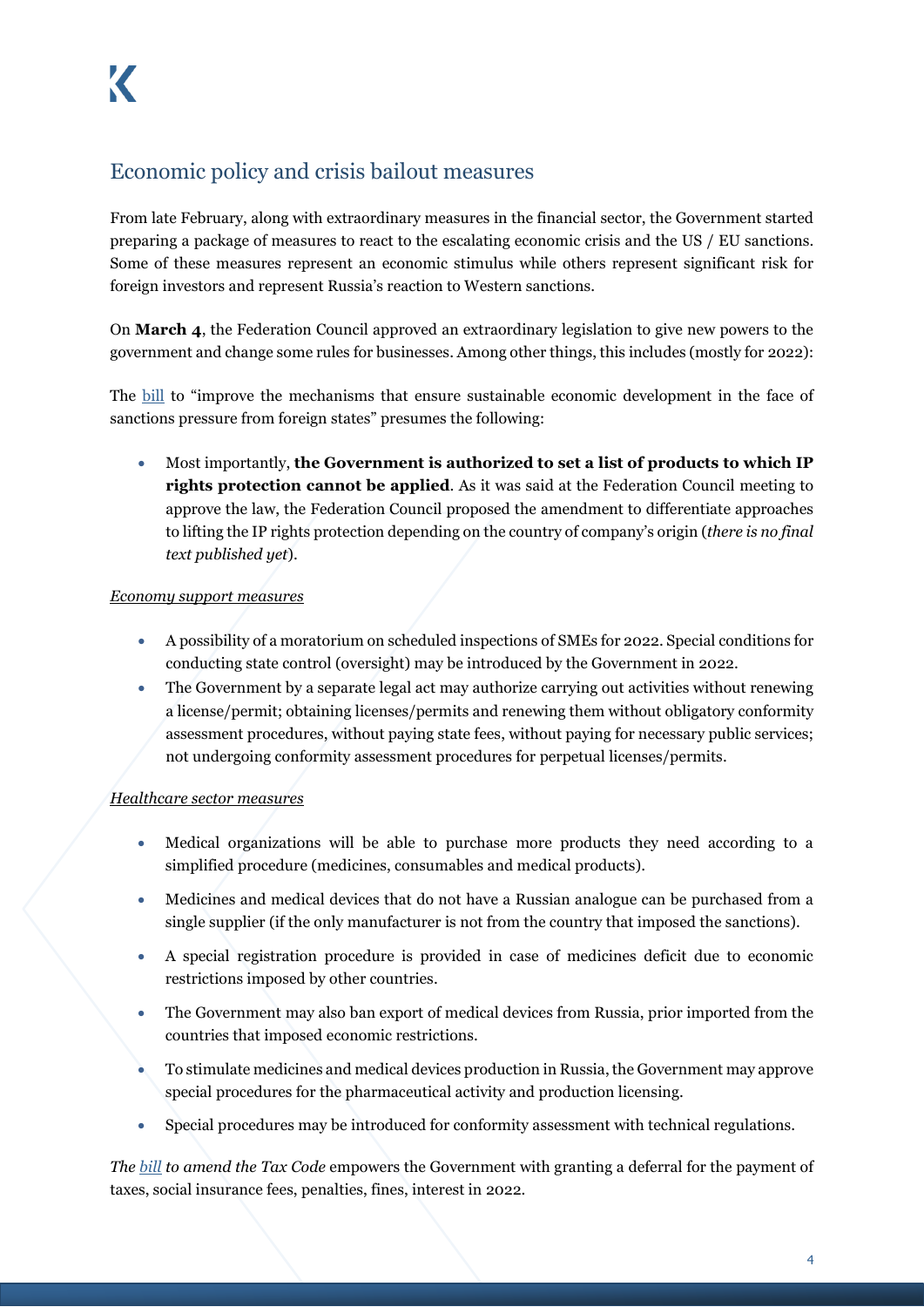## <span id="page-3-0"></span>Economic policy and crisis bailout measures

From late February, along with extraordinary measures in the financial sector, the Government started preparing a package of measures to react to the escalating economic crisis and the US / EU sanctions. Some of these measures represent an economic stimulus while others represent significant risk for foreign investors and represent Russia's reaction to Western sanctions.

On **March 4**, the Federation Council approved an extraordinary legislation to give new powers to the government and change some rules for businesses. Among other things, this includes (mostly for 2022):

The [bill](https://sozd.duma.gov.ru/bill/80712-8) to "improve the mechanisms that ensure sustainable economic development in the face of sanctions pressure from foreign states" presumes the following:

• Most importantly, **the Government is authorized to set a list of products to which IP rights protection cannot be applied**. As it was said at the Federation Council meeting to approve the law, the Federation Council proposed the amendment to differentiate approaches to lifting the IP rights protection depending on the country of company's origin (*there is no final text published yet*).

#### *Economy support measures*

- A possibility of a moratorium on scheduled inspections of SMEs for 2022. Special conditions for conducting state control (oversight) may be introduced by the Government in 2022.
- The Government by a separate legal act may authorize carrying out activities without renewing a license/permit; obtaining licenses/permits and renewing them without obligatory conformity assessment procedures, without paying state fees, without paying for necessary public services; not undergoing conformity assessment procedures for perpetual licenses/permits.

#### *Healthcare sector measures*

- Medical organizations will be able to purchase more products they need according to a simplified procedure (medicines, consumables and medical products).
- Medicines and medical devices that do not have a Russian analogue can be purchased from a single supplier (if the only manufacturer is not from the country that imposed the sanctions).
- A special registration procedure is provided in case of medicines deficit due to economic restrictions imposed by other countries.
- The Government may also ban export of medical devices from Russia, prior imported from the countries that imposed economic restrictions.
- To stimulate medicines and medical devices production in Russia, the Government may approve special procedures for the pharmaceutical activity and production licensing.
- Special procedures may be introduced for conformity assessment with technical regulations.

*The [bill](https://sozd.duma.gov.ru/bill/80713-8) to amend the Tax Code* empowers the Government with granting a deferral for the payment of taxes, social insurance fees, penalties, fines, interest in 2022.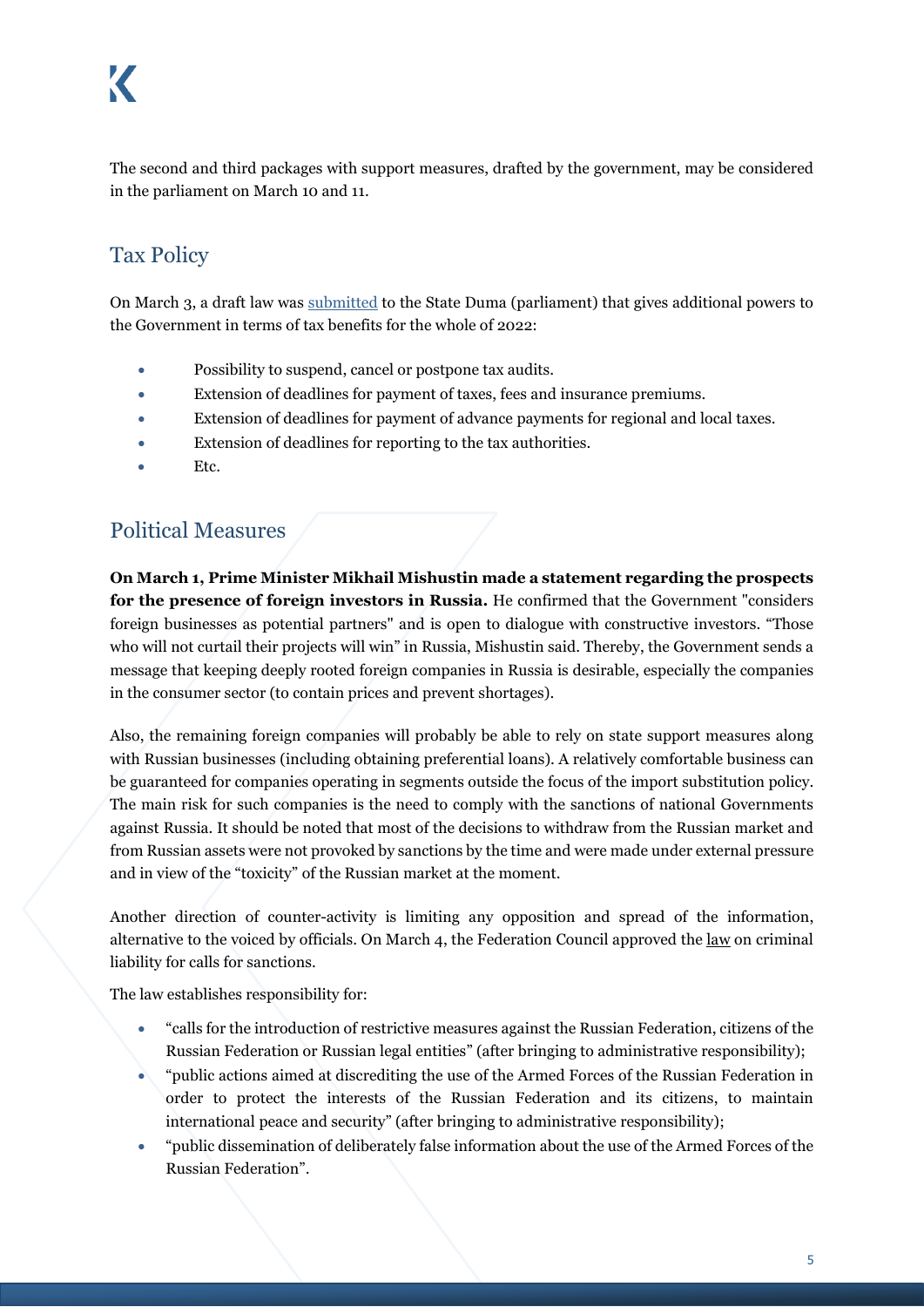The second and third packages with support measures, drafted by the government, may be considered in the parliament on March 10 and 11.

# <span id="page-4-0"></span>Tax Policy

On March 3, a draft law was [submitted](https://sozd.duma.gov.ru/bill/80713-8) to the State Duma (parliament) that gives additional powers to the Government in terms of tax benefits for the whole of 2022:

- Possibility to suspend, cancel or postpone tax audits.
- Extension of deadlines for payment of taxes, fees and insurance premiums.
- Extension of deadlines for payment of advance payments for regional and local taxes.
- Extension of deadlines for reporting to the tax authorities.
- Etc.

### <span id="page-4-1"></span>Political Measures

**On March 1, Prime Minister Mikhail Mishustin made a statement regarding the prospects for the presence of foreign investors in Russia.** He confirmed that the Government "considers foreign businesses as potential partners" and is open to dialogue with constructive investors. "Those who will not curtail their projects will win" in Russia, Mishustin said. Thereby, the Government sends a message that keeping deeply rooted foreign companies in Russia is desirable, especially the companies in the consumer sector (to contain prices and prevent shortages).

Also, the remaining foreign companies will probably be able to rely on state support measures along with Russian businesses (including obtaining preferential loans). A relatively comfortable business can be guaranteed for companies operating in segments outside the focus of the import substitution policy. The main risk for such companies is the need to comply with the sanctions of national Governments against Russia. It should be noted that most of the decisions to withdraw from the Russian market and from Russian assets were not provoked by sanctions by the time and were made under external pressure and in view of the "toxicity" of the Russian market at the moment.

Another direction of counter-activity is limiting any opposition and spread of the information, alternative to the voiced by officials. On March 4, the Federation Council approved the [law](https://sozd.duma.gov.ru/bill/464757-7) on criminal liability for calls for sanctions.

The law establishes responsibility for:

- "calls for the introduction of restrictive measures against the Russian Federation, citizens of the Russian Federation or Russian legal entities" (after bringing to administrative responsibility);
- "public actions aimed at discrediting the use of the Armed Forces of the Russian Federation in order to protect the interests of the Russian Federation and its citizens, to maintain international peace and security" (after bringing to administrative responsibility);
- "public dissemination of deliberately false information about the use of the Armed Forces of the Russian Federation".